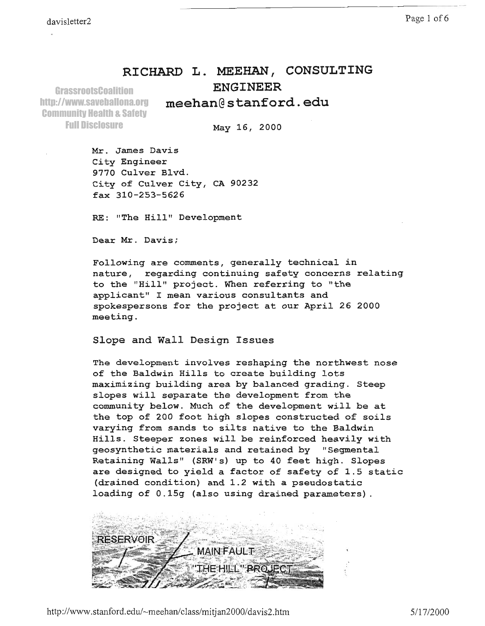## RICHARD L. MEEHAN, CONSULTING ENGINEER

meehanG stanford.. edu

**GrassrootsCoalition** http://www.saveballona.org Community Health & Safety Full Disclosure

May 15, 2OOO

Mr. James Dawis City Engineer 977O Culver Blvd. City of Cu1ver City, CA 90232 fax 310-253-5626

RE: "The Hill" Development

Dear Mr. Davis;

Following are comments, generally technical in nature, regarding continuing safety concerns relating to the "Hill" project. When referring to "the applicant" I mean various consultants and spokespersons for the project at our Apri1 26 2OOO meeting.

Slope and Wall Design Issues

The development involves reshaping the northwest nose of the Baldwin Hills to create building lots maximizing building area by balanced grading. Steep slopes will separate the development from the community below. Much of the development will be at the top of 200 foot high slopes constructed of soils varying from sands to silts native to the Baldwin Hills. Steeper zones will be reinforced heavily with geosynthetic materials and retained by "Segmental<br>Retaining Walls" (SRW's) up to 40 feet high. Slopes are designed to yield a factor of safety of 1.5 static (drained condition) and 1.2 with a pseudostatic Ioading of 0.15g (also using drained parameters).

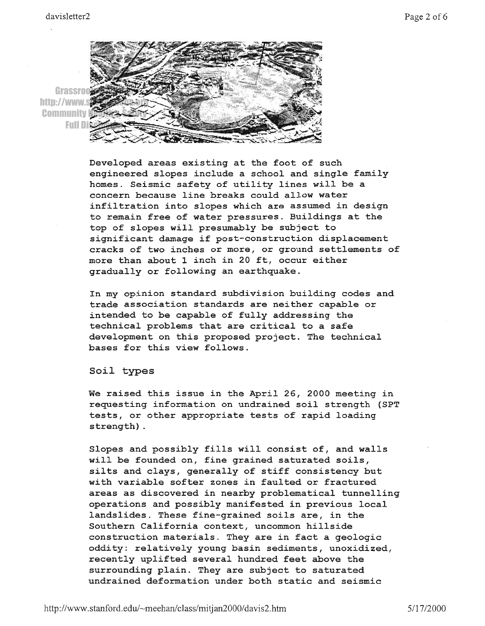

Developed areas existing at the foot of such engineered slopes include a school and single family homes. Seismic safety of utility lines will be a concern because line breaks could allow water infiltration into slopes which are assumed in design to remain free of water pressures. Buildings at the top of slopes will presumably be subject to significant damage if post-construction displacement cracks of two inches or more, or ground settlements of more than about 1 inch in 20 fE, occur either gradually or following an earthquake.

In my opinion standard subdivision buiLding codes and trade association standards are neither capable or intended to be capable of fully addressing the technical problems that are critical to a safe development on this proposed project. The technical bases for this view follows.

SoiJ- types

We raised this issue in the April 26, 2000 meeting in requesting information on undrained soiJ- strength (SPT tests, or other appropriate tests of rapid loading strength) .

Slopes and possibly fills will consist of, and walls wilJ. be founded on, fine grained saturated soils, silts and clays, generally of stiff consistency but with variable softer zones in faulted or fractured areas as discovered in nearby problematical tunnelling operations and possibly manifested in previous local Iandslides. These fine-grained soils are, in the Southern California context, uncommon hillside construction materials. They are in fact a geologic oddity: relatively young basin sediments, unoxidized, recently uplifted several hundred feet above the surrounding plain. They are subject to saturated undrained deformation under both static and seismic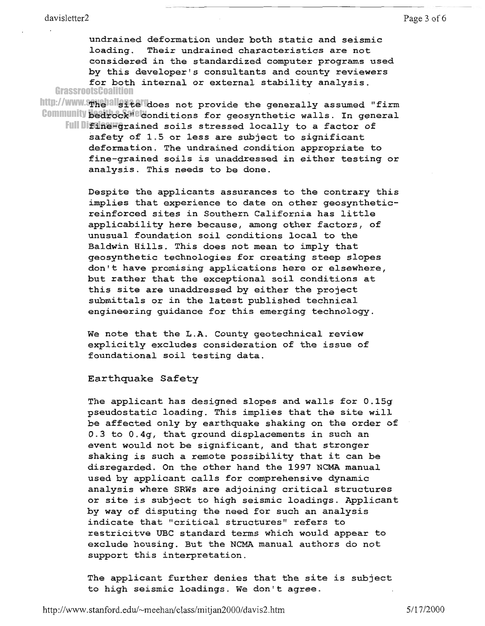undrained deformation under both static and seismic loading. Their undrained characteristics are not eonsidered in the standardized computer programs used by this developer's consultants and county reviewers for both internal or external stability analysis. **GrassrootsCoalition** 

http://www.spxebalsitelledoes not provide the generally assumed "fir Community Bedrock felonditions for geosynthetic walls. In genera Full Difine-grained soils stressed locally to a factor of safety of 1.5 or less are subject to significant

deformation. The undrained condition appropriate to fine-grained soils is unaddressed in either testing or analysis. fhis needs to be done.

Despite the applicants assurances to the contrary this implies that experience to date on other geosyntheticreinforced sites in southern california has little applicability here because, among other factors, of unusual foundation soil conditions local to the BaLdwin Hi1ls. This does not mean to imply that geosynthetic technologies for creating steep slopes don't have promising applications here or elsewhere, but rather that the exceptional soil- conditions at this site are unaddressed by either the project submittals or in the latest published technical engineering guidance for this emerging technology.

We note that the L.A. County geotechnical review explicitly excludes consideration of the issue of foundational soil testing data.

Earthquake Safety

The applicant has designed slopes and walls for 0.15g pseudostatic loading. This implies that the site will be affected only by earthquake shaking on the order of 0.3 to 0.49, that ground displacements in such an event would not be significant, and that stronger shaking is such a rernote possibility that it can be disregarded. On the other hand the 1997 NCMA manual used by applicant calls for comprehensive dynamic analysis where SRWs are adjoining critical structures or site is subject to high seismic loadings. Applicant by way of disputing the need for such an analysis indicate that "critical structures" refers to restricitve UBC standard terms which would appear to exclude housing. But the NCMA manual authors do not support this interpretation.

The applicant further denies that the site is subject to high seismic loadings. We don't agree.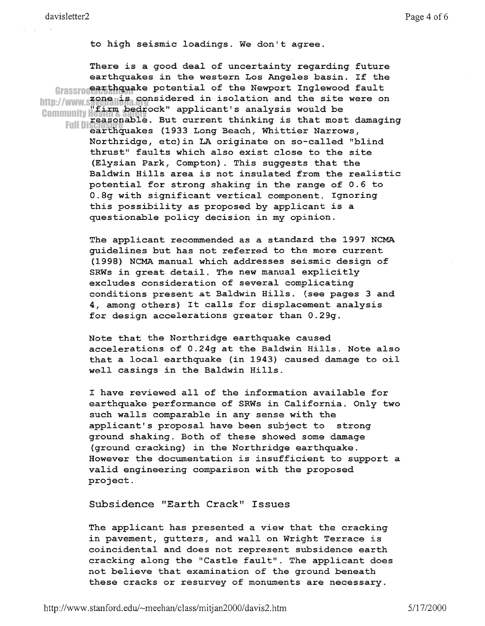There is a good deal of uncertainty regarding future earthquakes in the western Los Angeles basin. If the Grassropearthquake potential of the Newport Inglewood fault http://www.saope.is.considered in isolation and the site were on<br>non-viring and the site were on<br>nonmunity whirm bedrock" applicant's analysis would be Community Western Decirock applicant 5 dimensions well as that most damaging<br>Full Discussionable. But current thinking is that most damaging<br>Earthquakes (1933 Long Beach, Whittier Narrows, Northridge, etc) in LA originate on so-called "blind thrust" faults which also exist close to the site (Elysian Park, Compton). This suggests that the Baldwin Hills area is not insulated from the realistic potential for strong shaking in the range of 0.6 to 0.8q with significant vertical component. Ignoring this possibility as proposed by applicant is a questionable policy decision in my opinion.

> The applicant recommended as a standard the 1997 NCMA quidelines but has not referred to the more current (1998) NCMA manual which addresses seismic design of SRWs in great detail. The new manual explicitly excludes consideration of several complicating conditions present at Baldwin Hills. (see pages 3 and 4, among others) It calls for displacement analysis for design accelerations greater than 0.29g.

Note that the Northridge earthquake caused accelerations of 0.24g at the Baldwin Hills. Note also that a local earthquake (in 1943) caused damage to oil well casings in the Baldwin Hills.

I have reviewed all of the information available for earthquake performance of SRWs in California. Only two such walls comparable in any sense with the applicant's proposal have been subject to strong ground shaking. Both of these showed some damage (ground cracking) in the Northridge earthquake. However the documentation is insufficient to support a valid engineering comparison with the proposed project.

Subsidence "Earth Crack" Issues

The applicant has presented a view that the cracking in pavement, gutters, and wall on Wright Terrace is coincidental and does not represent subsidence earth cracking along the "Castle fault". The applicant does not believe that examination of the ground beneath these cracks or resurvey of monuments are necessary.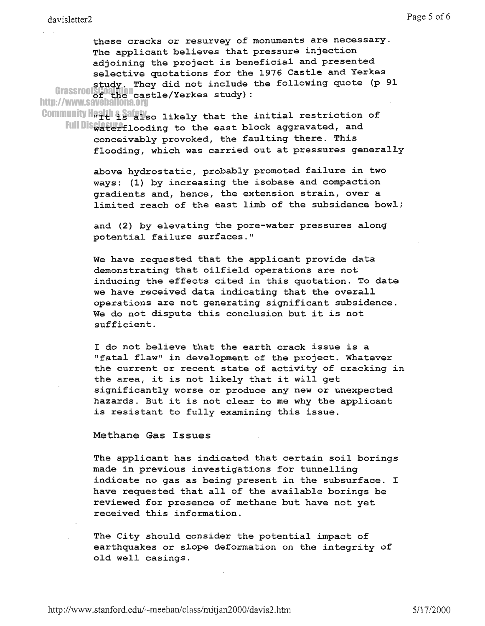these cracks or resurvey of monuments are necessary. The applicant believes that pressure injection adjoining the project is beneficial and presented selective quotations for the 1976 Castle and Yerkes study. They did not include the following quote (p 91 of the cast']-e/Yerkes studY): GrassrootsCoalition http://www.saveballona.org

Community Health & Safety o likely that the initial restriction of Full Disterflooding to the east block aggravated, and conceivably provoked, the faulting there. This flooding, which was carried out at pressures generally

> above hydrostatic, probably promoted failure in two ways: (1) by increasing the isobase and compaction gradients and, hence, the extension strain, over a limited reach of the east limb of the subsidence bowl;

and (2) by elevating the pore-water pressures along potential failure surfaces."

We have reguested that the applicant provide data demonstrating that oilfield operations are not inducing the effects cited in this quotation. To date we have received data indicating that the overall operations are not generating significant subsidence. We do not dispute this conclusion but it is not sufficient.

I do not believe that the earth crack issue is a 'rfatal. flaw" in development of the project. Whatever the current or recent state of activity of cracking in the area, it is not likely that it will get significantly worse or produce any new or unexpected hazards. But it is not clear to me why the applicant is resistant to fully examining this issue.

Methane Gas Issues

The applicant has indicated that certain soil borings made in previous investigations for tunnelling indicate no gas as being present in the subsurface. I hawe requested that all of the availabLe borings be reviewed for presence of methane but have not yet received this information.

The City should consider the potential impact of earthquakes or slope deformation on the integrity of old well casings.